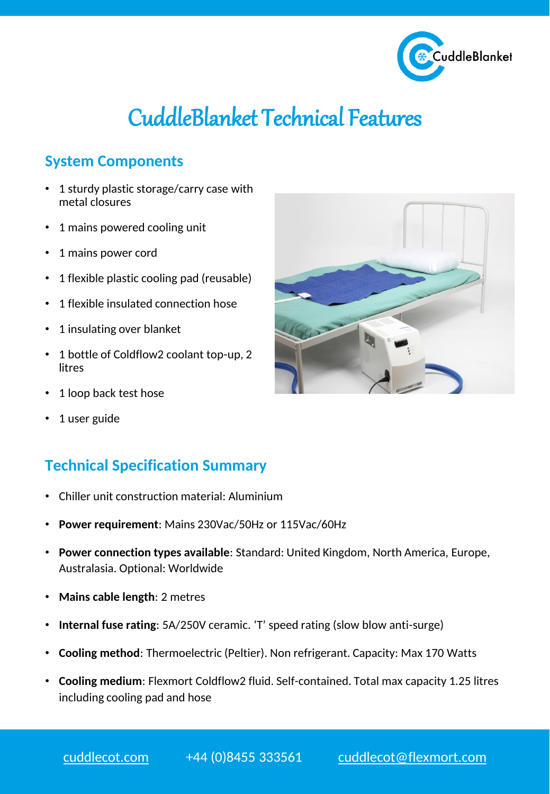

## CuddleBlanket Technical Features

## **System Components**

- 1 sturdy plastic storage/carry case with metal closures
- 1 mains powered cooling unit
- 1 mains power cord
- 1 flexible plastic cooling pad (reusable)
- 1 flexible insulated connection hose
- 1 insulating over blanket
- 1 bottle of Coldflow2 coolant top-up, 2 litres
- 1 loop back test hose
- 1 user guide

## **Technical Specification Summary**

- Chiller unit construction material: Aluminium
- **Power requirement**: Mains 230Vac/50Hz or 115Vac/60Hz
- **Power connection types available**: Standard: United Kingdom, North America, Europe, Australasia. Optional: Worldwide
- **Mains cable length**: 2 metres
- **Internal fuse rating**: 5A/250V ceramic. 'T' speed rating (slow blow anti-surge)
- **Cooling method**: Thermoelectric (Peltier). Non refrigerant. Capacity: Max 170 Watts
- **Cooling medium**: Flexmort Coldflow2 fluid. Self-contained. Total max capacity 1.25 litres including cooling pad and hose